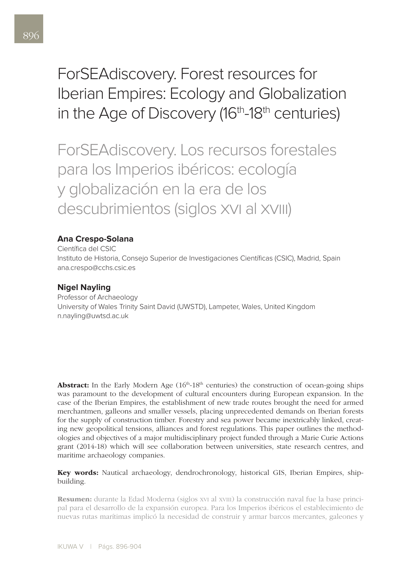# ForSEAdiscovery. Forest resources for Iberian Empires: Ecology and Globalization in the Age of Discovery (16<sup>th</sup>-18<sup>th</sup> centuries)

ForSEAdiscovery. Los recursos forestales para los Imperios ibéricos: ecología y globalización en la era de los descubrimientos (siglos xvi al xviii)

## **Ana Crespo-Solana**

Científica del CSIC

Instituto de Historia, Consejo Superior de Investigaciones Científicas (CSIC), Madrid, Spain ana.crespo@cchs.csic.es

## **Nigel Nayling**

Professor of Archaeology University of Wales Trinity Saint David (UWSTD), Lampeter, Wales, United Kingdom n.nayling@uwtsd.ac.uk

**Abstract:** In the Early Modern Age  $(16<sup>th</sup>-18<sup>th</sup>$  centuries) the construction of ocean-going ships was paramount to the development of cultural encounters during European expansion. In the case of the Iberian Empires, the establishment of new trade routes brought the need for armed merchantmen, galleons and smaller vessels, placing unprecedented demands on Iberian forests for the supply of construction timber. Forestry and sea power became inextricably linked, creating new geopolitical tensions, alliances and forest regulations. This paper outlines the methodologies and objectives of a major multidisciplinary project funded through a Marie Curie Actions grant (2014-18) which will see collaboration between universities, state research centres, and maritime archaeology companies.

## Key words: Nautical archaeology, dendrochronology, historical GIS, Iberian Empires, shipbuilding.

Resumen: durante la Edad Moderna (siglos xvi al xviii) la construcción naval fue la base principal para el desarrollo de la expansión europea. Para los Imperios ibéricos el establecimiento de nuevas rutas marítimas implicó la necesidad de construir y armar barcos mercantes, galeones y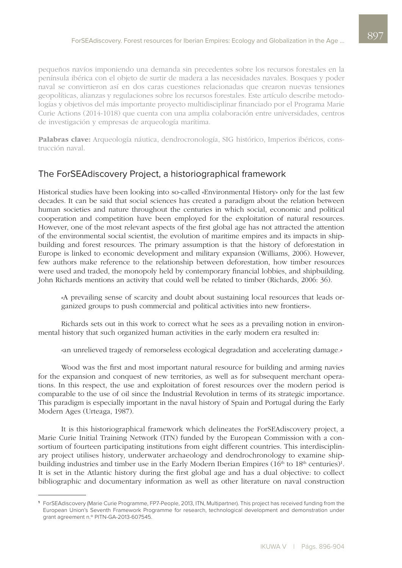pequeños navíos imponiendo una demanda sin precedentes sobre los recursos forestales en la península ibérica con el objeto de surtir de madera a las necesidades navales. Bosques y poder naval se convirtieron así en dos caras cuestiones relacionadas que crearon nuevas tensiones geopolíticas, alianzas y regulaciones sobre los recursos forestales. Este artículo describe metodologías y objetivos del más importante proyecto multidisciplinar financiado por el Programa Marie Curie Actions (2014-1018) que cuenta con una amplia colaboración entre universidades, centros de investigación y empresas de arqueología marítima.

Palabras clave: Arqueología náutica, dendrocronología, SIG histórico, Imperios ibéricos, construcción naval.

# The ForSEAdiscovery Project, a historiographical framework

Historical studies have been looking into so-called «Environmental History» only for the last few decades. It can be said that social sciences has created a paradigm about the relation between human societies and nature throughout the centuries in which social, economic and political cooperation and competition have been employed for the exploitation of natural resources. However, one of the most relevant aspects of the first global age has not attracted the attention of the environmental social scientist, the evolution of maritime empires and its impacts in shipbuilding and forest resources. The primary assumption is that the history of deforestation in Europe is linked to economic development and military expansion (Williams, 2006). However, few authors make reference to the relationship between deforestation, how timber resources were used and traded, the monopoly held by contemporary financial lobbies, and shipbuilding. John Richards mentions an activity that could well be related to timber (Richards, 2006: 36).

*«*A prevailing sense of scarcity and doubt about sustaining local resources that leads organized groups to push commercial and political activities into new frontiers*».*

Richards sets out in this work to correct what he sees as a prevailing notion in environmental history that such organized human activities in the early modern era resulted in:

*«*an unrelieved tragedy of remorseless ecological degradation and accelerating damage*.»*

Wood was the first and most important natural resource for building and arming navies for the expansion and conquest of new territories, as well as for subsequent merchant operations. In this respect, the use and exploitation of forest resources over the modern period is comparable to the use of oil since the Industrial Revolution in terms of its strategic importance. This paradigm is especially important in the naval history of Spain and Portugal during the Early Modern Ages (Urteaga, 1987).

It is this historiographical framework which delineates the ForSEAdiscovery project, a Marie Curie Initial Training Network (ITN) funded by the European Commission with a consortium of fourteen participating institutions from eight different countries. This interdisciplinary project utilises history, underwater archaeology and dendrochronology to examine shipbuilding industries and timber use in the Early Modern Iberian Empires  $(16<sup>th</sup>$  to  $18<sup>th</sup>$  centuries)<sup>1</sup>. It is set in the Atlantic history during the first global age and has a dual objective: to collect bibliographic and documentary information as well as other literature on naval construction

**<sup>1</sup>** ForSEAdiscovery (Marie Curie Programme, FP7-People, 2013, ITN, Multipartner). This project has received funding from the European Union's Seventh Framework Programme for research, technological development and demonstration under grant agreement n.º PITN-GA-2013-607545.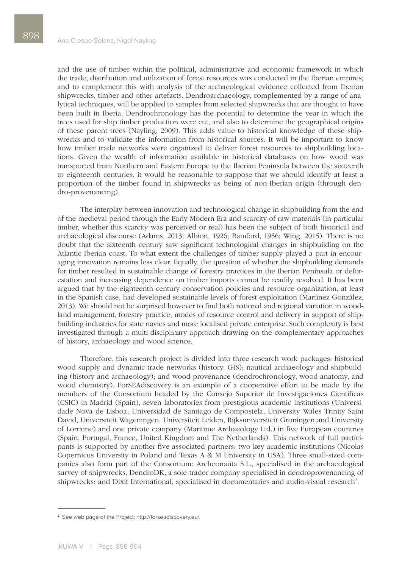and the use of timber within the political, administrative and economic framework in which the trade, distribution and utilization of forest resources was conducted in the Iberian empires; and to complement this with analysis of the archaeological evidence collected from Iberian shipwrecks, timber and other artefacts. Dendroarchaeology, complemented by a range of analytical techniques, will be applied to samples from selected shipwrecks that are thought to have been built in Iberia. Dendrochronology has the potential to determine the year in which the trees used for ship timber production were cut, and also to determine the geographical origins of these parent trees (Nayling, 2009). This adds value to historical knowledge of these shipwrecks and to validate the information from historical sources. It will be important to know how timber trade networks were organized to deliver forest resources to shipbuilding locations. Given the wealth of information available in historical databases on how wood was transported from Northern and Eastern Europe to the Iberian Peninsula between the sixteenth to eighteenth centuries, it would be reasonable to suppose that we should identify at least a proportion of the timber found in shipwrecks as being of non-Iberian origin (through dendro-provenancing).

The interplay between innovation and technological change in shipbuilding from the end of the medieval period through the Early Modern Era and scarcity of raw materials (in particular timber, whether this scarcity was perceived or real) has been the subject of both historical and archaeological discourse (Adams, 2013; Albion, 1926; Bamford, 1956; Wing, 2015). There is no doubt that the sixteenth century saw significant technological changes in shipbuilding on the Atlantic Iberian coast. To what extent the challenges of timber supply played a part in encouraging innovation remains less clear. Equally, the question of whether the shipbuilding demands for timber resulted in sustainable change of forestry practices in the Iberian Peninsula or deforestation and increasing dependence on timber imports cannot be readily resolved. It has been argued that by the eighteenth century conservation policies and resource organization, at least in the Spanish case, had developed sustainable levels of forest exploitation (Martinez González, 2013). We should not be surprised however to find both national and regional variation in woodland management, forestry practice, modes of resource control and delivery in support of shipbuilding industries for state navies and more localised private enterprise. Such complexity is best investigated through a multi-disciplinary approach drawing on the complementary approaches of history, archaeology and wood science.

Therefore, this research project is divided into three research work packages: historical wood supply and dynamic trade networks (history, GIS); nautical archaeology and shipbuilding (history and archaeology); and wood provenance (dendrochronology, wood anatomy, and wood chemistry). ForSEAdiscovery is an example of a cooperative effort to be made by the members of the Consortium headed by the Consejo Superior de Investigaciones Científicas (CSIC) in Madrid (Spain), seven laboratories from prestigious academic institutions (Universidade Nova de Lisboa; Universidad de Santiago de Compostela, University Wales Trinity Saint David, Universiteit Wageningen, Universiteit Leiden, Rijksuniversiteit Groningen and University of Lorraine) and one private company (Maritime Archaeology Ltd.) in five European countries (Spain, Portugal, France, United Kingdom and The Netherlands). This network of full participants is supported by another five associated partners: two key academic institutions (Nicolas Copernicus University in Poland and Texas A & M University in USA). Three small-sized companies also form part of the Consortium: Archeonauta S.L., specialised in the archaeological survey of shipwrecks, DendroDK, a sole-trader company specialised in dendroprovenancing of shipwrecks; and Dixit International, specialised in documentaries and audio-visual research<sup>2</sup>.

**<sup>2</sup>** See web page of the Project: http://forseadiscovery.eu/.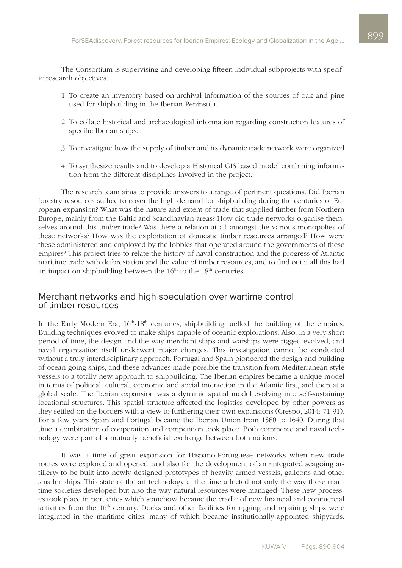The Consortium is supervising and developing fifteen individual subprojects with specific research objectives:

- 1. To create an inventory based on archival information of the sources of oak and pine used for shipbuilding in the Iberian Peninsula.
- 2. To collate historical and archaeological information regarding construction features of specific Iberian ships.
- 3. To investigate how the supply of timber and its dynamic trade network were organized
- 4. To synthesize results and to develop a Historical GIS based model combining information from the different disciplines involved in the project.

The research team aims to provide answers to a range of pertinent questions. Did Iberian forestry resources suffice to cover the high demand for shipbuilding during the centuries of European expansion? What was the nature and extent of trade that supplied timber from Northern Europe, mainly from the Baltic and Scandinavian areas? How did trade networks organise themselves around this timber trade? Was there a relation at all amongst the various monopolies of these networks? How was the exploitation of domestic timber resources arranged? How were these administered and employed by the lobbies that operated around the governments of these empires? This project tries to relate the history of naval construction and the progress of Atlantic maritime trade with deforestation and the value of timber resources, and to find out if all this had an impact on shipbuilding between the  $16<sup>th</sup>$  to the  $18<sup>th</sup>$  centuries.

#### Merchant networks and high speculation over wartime control of timber resources

In the Early Modern Era,  $16<sup>th</sup>-18<sup>th</sup>$  centuries, shipbuilding fuelled the building of the empires. Building techniques evolved to make ships capable of oceanic explorations. Also, in a very short period of time, the design and the way merchant ships and warships were rigged evolved, and naval organisation itself underwent major changes. This investigation cannot be conducted without a truly interdisciplinary approach. Portugal and Spain pioneered the design and building of ocean-going ships, and these advances made possible the transition from Mediterranean-style vessels to a totally new approach to shipbuilding. The Iberian empires became a unique model in terms of political, cultural, economic and social interaction in the Atlantic first, and then at a global scale. The Iberian expansion was a dynamic spatial model evolving into self-sustaining locational structures. This spatial structure affected the logistics developed by other powers as they settled on the borders with a view to furthering their own expansions (Crespo, 2014: 71-91). For a few years Spain and Portugal became the Iberian Union from 1580 to 1640. During that time a combination of cooperation and competition took place. Both commerce and naval technology were part of a mutually beneficial exchange between both nations.

It was a time of great expansion for Hispano-Portuguese networks when new trade routes were explored and opened, and also for the development of an «integrated seagoing artillery» to be built into newly designed prototypes of heavily armed vessels, galleons and other smaller ships. This state-of-the-art technology at the time affected not only the way these maritime societies developed but also the way natural resources were managed. These new processes took place in port cities which somehow became the cradle of new financial and commercial activities from the 16<sup>th</sup> century. Docks and other facilities for rigging and repairing ships were integrated in the maritime cities, many of which became institutionally-appointed shipyards.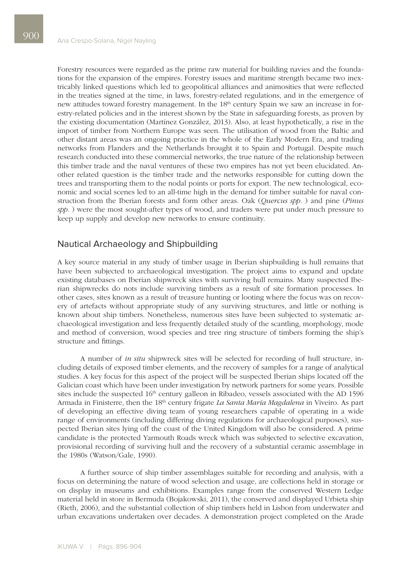Forestry resources were regarded as the prime raw material for building navies and the foundations for the expansion of the empires. Forestry issues and maritime strength became two inextricably linked questions which led to geopolitical alliances and animosities that were reflected in the treaties signed at the time, in laws, forestry-related regulations, and in the emergence of new attitudes toward forestry management. In the 18<sup>th</sup> century Spain we saw an increase in forestry-related policies and in the interest shown by the State in safeguarding forests, as proven by the existing documentation (Martínez González, 2013). Also, at least hypothetically, a rise in the import of timber from Northern Europe was seen. The utilisation of wood from the Baltic and other distant areas was an ongoing practice in the whole of the Early Modern Era, and trading networks from Flanders and the Netherlands brought it to Spain and Portugal. Despite much research conducted into these commercial networks, the true nature of the relationship between this timber trade and the naval ventures of these two empires has not yet been elucidated. Another related question is the timber trade and the networks responsible for cutting down the trees and transporting them to the nodal points or ports for export. The new technological, economic and social scenes led to an all-time high in the demand for timber suitable for naval construction from the Iberian forests and form other areas. Oak (*Quercus spp.* ) and pine (*Pinus spp.* ) were the most sought-after types of wood, and traders were put under much pressure to keep up supply and develop new networks to ensure continuity.

#### Nautical Archaeology and Shipbuilding

A key source material in any study of timber usage in Iberian shipbuilding is hull remains that have been subjected to archaeological investigation. The project aims to expand and update existing databases on Iberian shipwreck sites with surviving hull remains. Many suspected Iberian shipwrecks do nots include surviving timbers as a result of site formation processes. In other cases, sites known as a result of treasure hunting or looting where the focus was on recovery of artefacts without appropriate study of any surviving structures, and little or nothing is known about ship timbers. Nonetheless, numerous sites have been subjected to systematic archaeological investigation and less frequently detailed study of the scantling, morphology, mode and method of conversion, wood species and tree ring structure of timbers forming the ship's structure and fittings.

A number of *in situ* shipwreck sites will be selected for recording of hull structure, including details of exposed timber elements, and the recovery of samples for a range of analytical studies. A key focus for this aspect of the project will be suspected Iberian ships located off the Galician coast which have been under investigation by network partners for some years. Possible sites include the suspected 16<sup>th</sup> century galleon in Ribadeo, vessels associated with the AD 1596 Armada in Finisterre, then the 18th century frigate *La Santa María Magdalena* in Viveiro. As part of developing an effective diving team of young researchers capable of operating in a wide range of environments (including differing diving regulations for archaeological purposes), suspected Iberian sites lying off the coast of the United Kingdom will also be considered. A prime candidate is the protected Yarmouth Roads wreck which was subjected to selective excavation, provisional recording of surviving hull and the recovery of a substantial ceramic assemblage in the 1980s (Watson/Gale, 1990).

A further source of ship timber assemblages suitable for recording and analysis, with a focus on determining the nature of wood selection and usage, are collections held in storage or on display in museums and exhibitions. Examples range from the conserved Western Ledge material held in store in Bermuda (Bojakowski, 2011), the conserved and displayed Urbieta ship (Rieth, 2006), and the substantial collection of ship timbers held in Lisbon from underwater and urban excavations undertaken over decades. A demonstration project completed on the Arade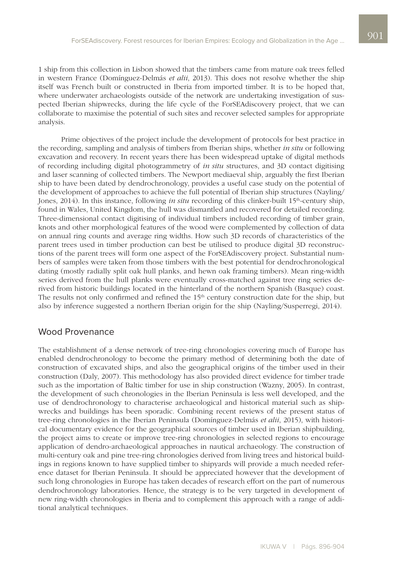1 ship from this collection in Lisbon showed that the timbers came from mature oak trees felled in western France (Domínguez-Delmás *et alii*, 2013). This does not resolve whether the ship itself was French built or constructed in Iberia from imported timber. It is to be hoped that, where underwater archaeologists outside of the network are undertaking investigation of suspected Iberian shipwrecks, during the life cycle of the ForSEAdiscovery project, that we can collaborate to maximise the potential of such sites and recover selected samples for appropriate analysis.

Prime objectives of the project include the development of protocols for best practice in the recording, sampling and analysis of timbers from Iberian ships, whether *in situ* or following excavation and recovery. In recent years there has been widespread uptake of digital methods of recording including digital photogrammetry of *in situ* structures, and 3D contact digitising and laser scanning of collected timbers. The Newport mediaeval ship, arguably the first Iberian ship to have been dated by dendrochronology, provides a useful case study on the potential of the development of approaches to achieve the full potential of Iberian ship structures (Nayling/ Jones, 2014). In this instance, following *in situ* recording of this clinker-built 15th-century ship, found in Wales, United Kingdom, the hull was dismantled and recovered for detailed recording. Three-dimensional contact digitising of individual timbers included recording of timber grain, knots and other morphological features of the wood were complemented by collection of data on annual ring counts and average ring widths. How such 3D records of characteristics of the parent trees used in timber production can best be utilised to produce digital 3D reconstructions of the parent trees will form one aspect of the ForSEAdiscovery project. Substantial numbers of samples were taken from those timbers with the best potential for dendrochronological dating (mostly radially split oak hull planks, and hewn oak framing timbers). Mean ring-width series derived from the hull planks were eventually cross-matched against tree ring series derived from historic buildings located in the hinterland of the northern Spanish (Basque) coast. The results not only confirmed and refined the 15<sup>th</sup> century construction date for the ship, but also by inference suggested a northern Iberian origin for the ship (Nayling/Susperregi, 2014).

# Wood Provenance

The establishment of a dense network of tree-ring chronologies covering much of Europe has enabled dendrochronology to become the primary method of determining both the date of construction of excavated ships, and also the geographical origins of the timber used in their construction (Daly, 2007). This methodology has also provided direct evidence for timber trade such as the importation of Baltic timber for use in ship construction (Wazny, 2005). In contrast, the development of such chronologies in the Iberian Peninsula is less well developed, and the use of dendrochronology to characterise archaeological and historical material such as shipwrecks and buildings has been sporadic. Combining recent reviews of the present status of tree-ring chronologies in the Iberian Peninsula (Domínguez-Delmás *et alii*, 2015), with historical documentary evidence for the geographical sources of timber used in Iberian shipbuilding, the project aims to create or improve tree-ring chronologies in selected regions to encourage application of dendro-archaeological approaches in nautical archaeology. The construction of multi-century oak and pine tree-ring chronologies derived from living trees and historical buildings in regions known to have supplied timber to shipyards will provide a much needed reference dataset for Iberian Peninsula*.* It should be appreciated however that the development of such long chronologies in Europe has taken decades of research effort on the part of numerous dendrochronology laboratories. Hence, the strategy is to be very targeted in development of new ring-width chronologies in Iberia and to complement this approach with a range of additional analytical techniques.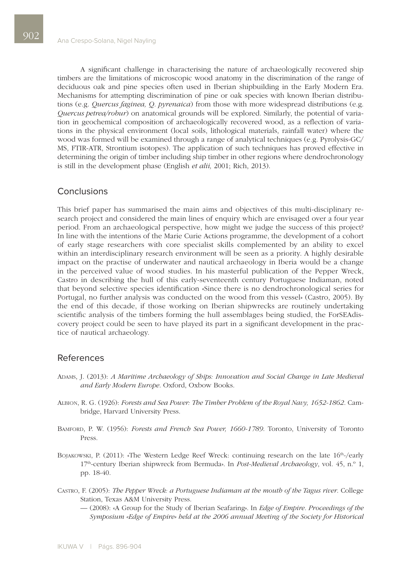A significant challenge in characterising the nature of archaeologically recovered ship timbers are the limitations of microscopic wood anatomy in the discrimination of the range of deciduous oak and pine species often used in Iberian shipbuilding in the Early Modern Era. Mechanisms for attempting discrimination of pine or oak species with known Iberian distributions (e.g. *Quercus faginea, Q. pyrenaica*) from those with more widespread distributions (e.g. *Quercus petrea/robur*) on anatomical grounds will be explored. Similarly, the potential of variation in geochemical composition of archaeologically recovered wood, as a reflection of variations in the physical environment (local soils, lithological materials, rainfall water) where the wood was formed will be examined through a range of analytical techniques (e.g. Pyrolysis-GC/ MS, FTIR-ATR, Strontium isotopes). The application of such techniques has proved effective in determining the origin of timber including ship timber in other regions where dendrochronology is still in the development phase (English *et alii,* 2001; Rich, 2013).

## **Conclusions**

This brief paper has summarised the main aims and objectives of this multi-disciplinary research project and considered the main lines of enquiry which are envisaged over a four year period. From an archaeological perspective, how might we judge the success of this project? In line with the intentions of the Marie Curie Actions programme, the development of a cohort of early stage researchers with core specialist skills complemented by an ability to excel within an interdisciplinary research environment will be seen as a priority. A highly desirable impact on the practise of underwater and nautical archaeology in Iberia would be a change in the perceived value of wood studies. In his masterful publication of the Pepper Wreck, Castro in describing the hull of this early-seventeenth century Portuguese Indiaman, noted that beyond selective species identification «Since there is no dendrochronological series for Portugal, no further analysis was conducted on the wood from this vessel» (Castro, 2005). By the end of this decade, if those working on Iberian shipwrecks are routinely undertaking scientific analysis of the timbers forming the hull assemblages being studied, the ForSEAdiscovery project could be seen to have played its part in a significant development in the practice of nautical archaeology.

#### References

- Adams, J. (2013): *A Maritime Archaeology of Ships: Innovation and Social Change in Late Medieval and Early Modern Europe*. Oxford, Oxbow Books.
- Albion, R. G. (1926): *Forests and Sea Power: The Timber Problem of the Royal Navy, 1652-1862*. Cambridge, Harvard University Press.
- Bamford, P. W. (1956): *Forests and French Sea Power, 1660-1789*. Toronto, University of Toronto Press.
- BOJAKOWSKI, P. (2011): «The Western Ledge Reef Wreck: continuing research on the late 16<sup>th</sup>-/early 17th-century Iberian shipwreck from Bermuda». In *Post-Medieval Archaeology*, vol. 45, n.º 1, pp. 18-40.
- Castro, F. (2005): *The Pepper Wreck: a Portuguese Indiaman at the mouth of the Tagus river*. College Station, Texas A&M University Press.
	- (2008): «A Group for the Study of Iberian Seafaring». In *Edge of Empire. Proceedings of the Symposium «Edge of Empire» held at the 2006 annual Meeting of the Society for Historical*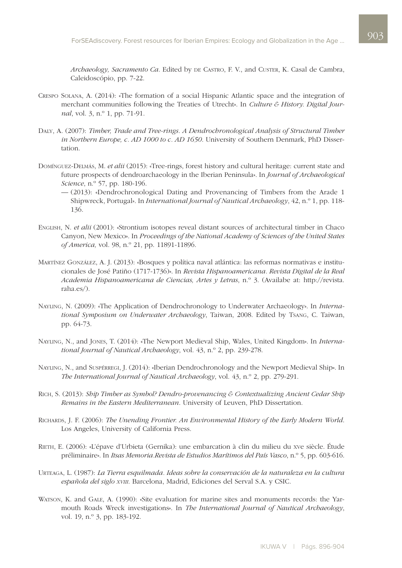*Archaeology, Sacramento Ca*. Edited by de Castro, F. V., and Custer, K. Casal de Cambra, Caleidoscópio, pp. 7-22.

- Crespo Solana, A. (2014): «The formation of a social Hispanic Atlantic space and the integration of merchant communities following the Treaties of Utrecht». In *Culture & History. Digital Journal*, vol. 3, n.º 1, pp. 71-91.
- Daly, A. (2007): *Timber, Trade and Tree-rings. A Dendrochronological Analysis of Structural Timber in Northern Europe, c. AD 1000 to c. AD 1650*. University of Southern Denmark, PhD Dissertation.
- Domínguez-Delmás, M. *et alii* (2015): «Tree-rings, forest history and cultural heritage: current state and future prospects of dendroarchaeology in the Iberian Peninsula». In *Journal of Archaeological Science*, n.º 57, pp. 180-196.
	- (2013): «Dendrochronological Dating and Provenancing of Timbers from the Arade 1 Shipwreck, Portugal». In *International Journal of Nautical Archaeology*, 42, n.º 1, pp. 118- 136.
- English, N. *et alii* (2001): «Strontium isotopes reveal distant sources of architectural timber in Chaco Canyon, New Mexico». In *Proceedings of the National Academy of Sciences of the United States of America,* vol. 98, n.º 21, pp. 11891-11896.
- Martínez González, A. J. (2013): «Bosques y política naval atlántica: las reformas normativas e institucionales de José Patiño (1717-1736)». In *Revista Hispanoamericana. Revista Digital de la Real Academia Hispanoamericana de Ciencias, Artes y Letras*, n.º 3. (Availabe at: http://revista. raha.es/).
- Nayling, N. (2009): «The Application of Dendrochronology to Underwater Archaeology». In *International Symposium on Underwater Archaeology*, Taiwan, 2008. Edited by Tsang, C. Taiwan, pp. 64-73.
- Nayling, N., and Jones, T. (2014): «The Newport Medieval Ship, Wales, United Kingdom». In *International Journal of Nautical Archaeology*, vol. 43, n.º 2, pp. 239-278.
- Nayling, N., and Suspérregi, J. (2014): «Iberian Dendrochronology and the Newport Medieval Ship». In *The International Journal of Nautical Archaeology*, vol. 43, n.º 2, pp. 279-291.
- Rich, S. (2013): *Ship Timber as Symbol? Dendro-provenancing & Contextualizing Ancient Cedar Ship Remains in the Eastern Mediterranean*. University of Leuven, PhD Dissertation.
- Richards, J. F. (2006): *The Unending Frontier. An Environmental History of the Early Modern World*. Los Angeles, University of California Press.
- Rieth, E. (2006): «L'épave d'Urbieta (Gernika): une embarcation à clin du milieu du xve siècle. Étude préliminaire». In *Itsas Memoria.Revista de Estudios Marítimos del País Vasco*, n.º 5, pp. 603-616.
- Urteaga, L. (1987): *La Tierra esquilmada. Ideas sobre la conservación de la naturaleza en la cultura española del siglo xviii*. Barcelona, Madrid, Ediciones del Serval S.A. y CSIC.
- WATSON, K. and GALE, A. (1990): «Site evaluation for marine sites and monuments records: the Yarmouth Roads Wreck investigations». In *The International Journal of Nautical Archaeology*, vol. 19, n.º 3, pp. 183-192.